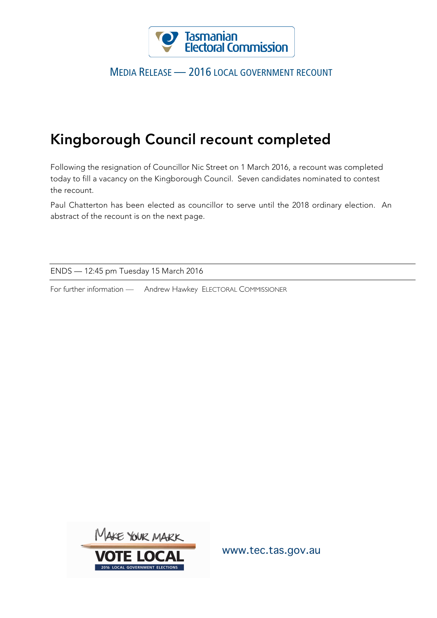

## MEDIA RELEASE — 2016 LOCAL GOVERNMENT RECOUNT

## Kingborough Council recount completed

Following the resignation of Councillor Nic Street on 1 March 2016, a recount was completed today to fill a vacancy on the Kingborough Council. Seven candidates nominated to contest the recount.

Paul Chatterton has been elected as councillor to serve until the 2018 ordinary election. An abstract of the recount is on the next page.

ENDS — 12:45 pm Tuesday 15 March 2016

For further information — Andrew Hawkey ELECTORAL COMMISSIONER



www.tec.tas.gov.au